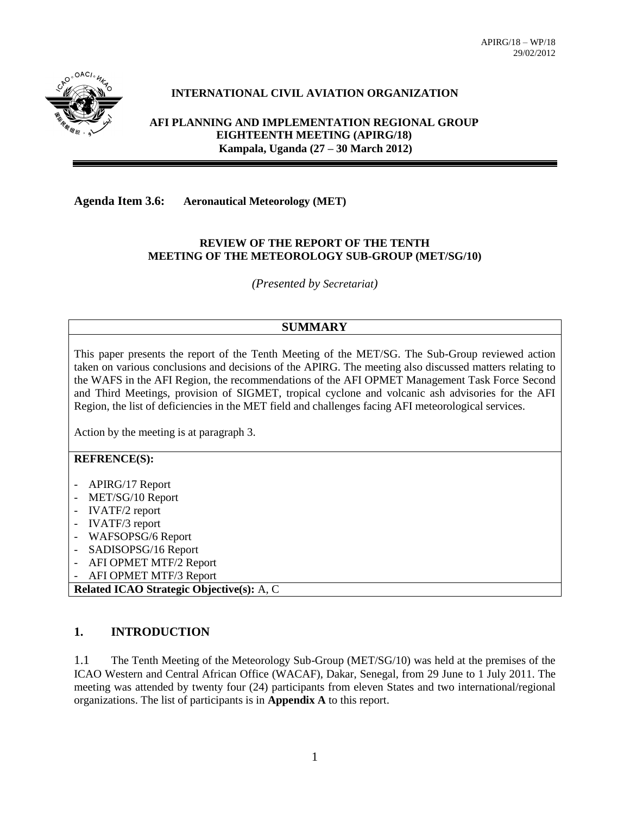

# **INTERNATIONAL CIVIL AVIATION ORGANIZATION**

**AFI PLANNING AND IMPLEMENTATION REGIONAL GROUP EIGHTEENTH MEETING (APIRG/18) Kampala, Uganda (27 – 30 March 2012)**

**Agenda Item 3.6: Aeronautical Meteorology (MET)**

#### **REVIEW OF THE REPORT OF THE TENTH MEETING OF THE METEOROLOGY SUB-GROUP (MET/SG/10)**

*(Presented by Secretariat)*

# **SUMMARY**

This paper presents the report of the Tenth Meeting of the MET/SG. The Sub-Group reviewed action taken on various conclusions and decisions of the APIRG. The meeting also discussed matters relating to the WAFS in the AFI Region, the recommendations of the AFI OPMET Management Task Force Second and Third Meetings, provision of SIGMET, tropical cyclone and volcanic ash advisories for the AFI Region, the list of deficiencies in the MET field and challenges facing AFI meteorological services.

Action by the meeting is at paragraph 3.

#### **REFRENCE(S):**

- APIRG/17 Report
- MET/SG/10 Report
- IVATF/2 report
- IVATF/3 report
- WAFSOPSG/6 Report
- SADISOPSG/16 Report
- AFI OPMET MTF/2 Report
- AFI OPMET MTF/3 Report

**Related ICAO Strategic Objective(s):** A, C

# **1. INTRODUCTION**

1.1 The Tenth Meeting of the Meteorology Sub-Group (MET/SG/10) was held at the premises of the ICAO Western and Central African Office (WACAF), Dakar, Senegal, from 29 June to 1 July 2011. The meeting was attended by twenty four (24) participants from eleven States and two international/regional organizations. The list of participants is in **Appendix A** to this report.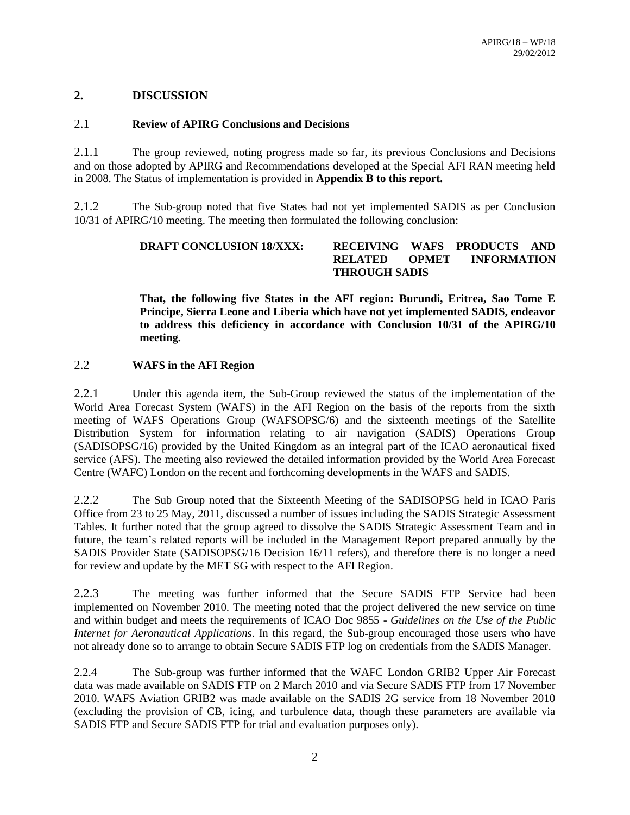# **2. DISCUSSION**

## 2.1 **Review of APIRG Conclusions and Decisions**

2.1.1 The group reviewed, noting progress made so far, its previous Conclusions and Decisions and on those adopted by APIRG and Recommendations developed at the Special AFI RAN meeting held in 2008. The Status of implementation is provided in **Appendix B to this report.**

2.1.2 The Sub-group noted that five States had not yet implemented SADIS as per Conclusion 10/31 of APIRG/10 meeting. The meeting then formulated the following conclusion:

# **DRAFT CONCLUSION 18/XXX: RECEIVING WAFS PRODUCTS AND RELATED OPMET INFORMATION THROUGH SADIS**

**That, the following five States in the AFI region: Burundi, Eritrea, Sao Tome E Principe, Sierra Leone and Liberia which have not yet implemented SADIS, endeavor to address this deficiency in accordance with Conclusion 10/31 of the APIRG/10 meeting.**

# 2.2 **WAFS in the AFI Region**

2.2.1 Under this agenda item, the Sub-Group reviewed the status of the implementation of the World Area Forecast System (WAFS) in the AFI Region on the basis of the reports from the sixth meeting of WAFS Operations Group (WAFSOPSG/6) and the sixteenth meetings of the Satellite Distribution System for information relating to air navigation (SADIS) Operations Group (SADISOPSG/16) provided by the United Kingdom as an integral part of the ICAO aeronautical fixed service (AFS). The meeting also reviewed the detailed information provided by the World Area Forecast Centre (WAFC) London on the recent and forthcoming developments in the WAFS and SADIS.

2.2.2 The Sub Group noted that the Sixteenth Meeting of the SADISOPSG held in ICAO Paris Office from 23 to 25 May, 2011, discussed a number of issues including the SADIS Strategic Assessment Tables. It further noted that the group agreed to dissolve the SADIS Strategic Assessment Team and in future, the team's related reports will be included in the Management Report prepared annually by the SADIS Provider State (SADISOPSG/16 Decision 16/11 refers), and therefore there is no longer a need for review and update by the MET SG with respect to the AFI Region.

2.2.3 The meeting was further informed that the Secure SADIS FTP Service had been implemented on November 2010. The meeting noted that the project delivered the new service on time and within budget and meets the requirements of ICAO Doc 9855 *- Guidelines on the Use of the Public Internet for Aeronautical Applications*. In this regard, the Sub-group encouraged those users who have not already done so to arrange to obtain Secure SADIS FTP log on credentials from the SADIS Manager.

2.2.4 The Sub-group was further informed that the WAFC London GRIB2 Upper Air Forecast data was made available on SADIS FTP on 2 March 2010 and via Secure SADIS FTP from 17 November 2010. WAFS Aviation GRIB2 was made available on the SADIS 2G service from 18 November 2010 (excluding the provision of CB, icing, and turbulence data, though these parameters are available via SADIS FTP and Secure SADIS FTP for trial and evaluation purposes only).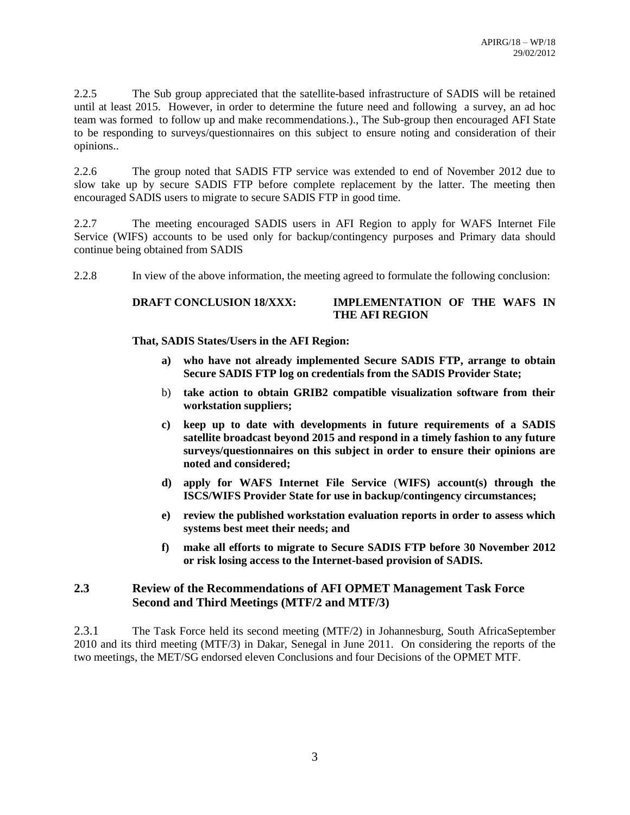2.2.5 The Sub group appreciated that the satellite-based infrastructure of SADIS will be retained until at least 2015. However, in order to determine the future need and following a survey, an ad hoc team was formed to follow up and make recommendations.)., The Sub-group then encouraged AFI State to be responding to surveys/questionnaires on this subject to ensure noting and consideration of their opinions..

2.2.6 The group noted that SADIS FTP service was extended to end of November 2012 due to slow take up by secure SADIS FTP before complete replacement by the latter. The meeting then encouraged SADIS users to migrate to secure SADIS FTP in good time.

2.2.7 The meeting encouraged SADIS users in AFI Region to apply for WAFS Internet File Service (WIFS) accounts to be used only for backup/contingency purposes and Primary data should continue being obtained from SADIS

2.2.8 In view of the above information, the meeting agreed to formulate the following conclusion:

# **DRAFT CONCLUSION 18/XXX: IMPLEMENTATION OF THE WAFS IN THE AFI REGION**

**That, SADIS States/Users in the AFI Region:**

- **a) who have not already implemented Secure SADIS FTP, arrange to obtain Secure SADIS FTP log on credentials from the SADIS Provider State;**
- b) **take action to obtain GRIB2 compatible visualization software from their workstation suppliers;**
- **c) keep up to date with developments in future requirements of a SADIS satellite broadcast beyond 2015 and respond in a timely fashion to any future surveys/questionnaires on this subject in order to ensure their opinions are noted and considered;**
- **d) apply for WAFS Internet File Service** (**WIFS) account(s) through the ISCS/WIFS Provider State for use in backup/contingency circumstances;**
- **e) review the published workstation evaluation reports in order to assess which systems best meet their needs; and**
- **f) make all efforts to migrate to Secure SADIS FTP before 30 November 2012 or risk losing access to the Internet-based provision of SADIS.**

# **2.3 Review of the Recommendations of AFI OPMET Management Task Force Second and Third Meetings (MTF/2 and MTF/3)**

2.3.1 The Task Force held its second meeting (MTF/2) in Johannesburg, South AfricaSeptember 2010 and its third meeting (MTF/3) in Dakar, Senegal in June 2011. On considering the reports of the two meetings, the MET/SG endorsed eleven Conclusions and four Decisions of the OPMET MTF.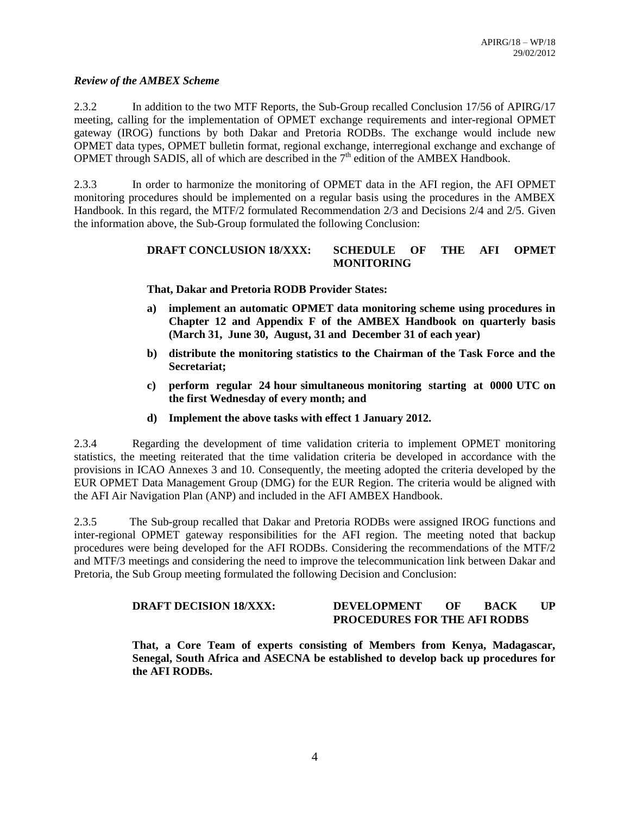#### *Review of the AMBEX Scheme*

2.3.2 In addition to the two MTF Reports, the Sub-Group recalled Conclusion 17/56 of APIRG/17 meeting, calling for the implementation of OPMET exchange requirements and inter-regional OPMET gateway (IROG) functions by both Dakar and Pretoria RODBs. The exchange would include new OPMET data types, OPMET bulletin format, regional exchange, interregional exchange and exchange of OPMET through SADIS, all of which are described in the  $7<sup>th</sup>$  edition of the AMBEX Handbook.

2.3.3 In order to harmonize the monitoring of OPMET data in the AFI region, the AFI OPMET monitoring procedures should be implemented on a regular basis using the procedures in the AMBEX Handbook. In this regard, the MTF/2 formulated Recommendation 2/3 and Decisions 2/4 and 2/5. Given the information above, the Sub-Group formulated the following Conclusion:

# **DRAFT CONCLUSION 18/XXX: SCHEDULE OF THE AFI OPMET MONITORING**

**That, Dakar and Pretoria RODB Provider States:**

- **a) implement an automatic OPMET data monitoring scheme using procedures in Chapter 12 and Appendix F of the AMBEX Handbook on quarterly basis (March 31, June 30, August, 31 and December 31 of each year)**
- **b) distribute the monitoring statistics to the Chairman of the Task Force and the Secretariat;**
- **c) perform regular 24 hour simultaneous monitoring starting at 0000 UTC on the first Wednesday of every month; and**
- **d) Implement the above tasks with effect 1 January 2012.**

2.3.4 Regarding the development of time validation criteria to implement OPMET monitoring statistics, the meeting reiterated that the time validation criteria be developed in accordance with the provisions in ICAO Annexes 3 and 10. Consequently, the meeting adopted the criteria developed by the EUR OPMET Data Management Group (DMG) for the EUR Region. The criteria would be aligned with the AFI Air Navigation Plan (ANP) and included in the AFI AMBEX Handbook.

2.3.5 The Sub-group recalled that Dakar and Pretoria RODBs were assigned IROG functions and inter-regional OPMET gateway responsibilities for the AFI region. The meeting noted that backup procedures were being developed for the AFI RODBs. Considering the recommendations of the MTF/2 and MTF/3 meetings and considering the need to improve the telecommunication link between Dakar and Pretoria, the Sub Group meeting formulated the following Decision and Conclusion:

#### **DRAFT DECISION 18/XXX: DEVELOPMENT OF BACK UP PROCEDURES FOR THE AFI RODBS**

**That, a Core Team of experts consisting of Members from Kenya, Madagascar, Senegal, South Africa and ASECNA be established to develop back up procedures for the AFI RODBs.**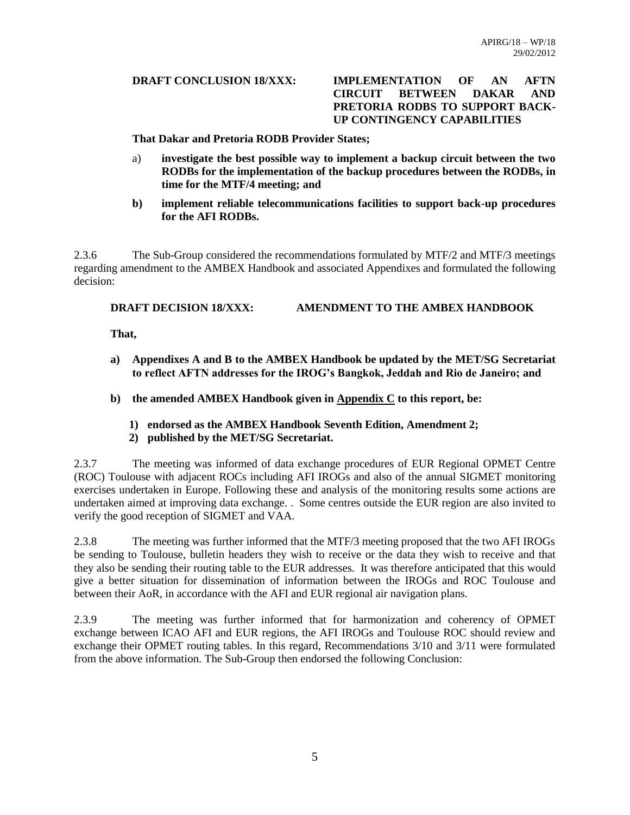#### **DRAFT CONCLUSION 18/XXX: IMPLEMENTATION OF AN AFTN CIRCUIT BETWEEN DAKAR AND PRETORIA RODBS TO SUPPORT BACK-UP CONTINGENCY CAPABILITIES**

**That Dakar and Pretoria RODB Provider States;**

- a) **investigate the best possible way to implement a backup circuit between the two RODBs for the implementation of the backup procedures between the RODBs, in time for the MTF/4 meeting; and**
- **b) implement reliable telecommunications facilities to support back-up procedures for the AFI RODBs.**

2.3.6 The Sub-Group considered the recommendations formulated by MTF/2 and MTF/3 meetings regarding amendment to the AMBEX Handbook and associated Appendixes and formulated the following decision:

## **DRAFT DECISION 18/XXX: AMENDMENT TO THE AMBEX HANDBOOK**

**That,**

- **a) Appendixes A and B to the AMBEX Handbook be updated by the MET/SG Secretariat to reflect AFTN addresses for the IROG's Bangkok, Jeddah and Rio de Janeiro; and**
- **b) the amended AMBEX Handbook given in Appendix C to this report, be:**
	- **1) endorsed as the AMBEX Handbook Seventh Edition, Amendment 2;**
	- **2) published by the MET/SG Secretariat.**

2.3.7 The meeting was informed of data exchange procedures of EUR Regional OPMET Centre (ROC) Toulouse with adjacent ROCs including AFI IROGs and also of the annual SIGMET monitoring exercises undertaken in Europe. Following these and analysis of the monitoring results some actions are undertaken aimed at improving data exchange. . Some centres outside the EUR region are also invited to verify the good reception of SIGMET and VAA.

2.3.8 The meeting was further informed that the MTF/3 meeting proposed that the two AFI IROGs be sending to Toulouse, bulletin headers they wish to receive or the data they wish to receive and that they also be sending their routing table to the EUR addresses. It was therefore anticipated that this would give a better situation for dissemination of information between the IROGs and ROC Toulouse and between their AoR, in accordance with the AFI and EUR regional air navigation plans.

2.3.9 The meeting was further informed that for harmonization and coherency of OPMET exchange between ICAO AFI and EUR regions, the AFI IROGs and Toulouse ROC should review and exchange their OPMET routing tables. In this regard, Recommendations 3/10 and 3/11 were formulated from the above information. The Sub-Group then endorsed the following Conclusion: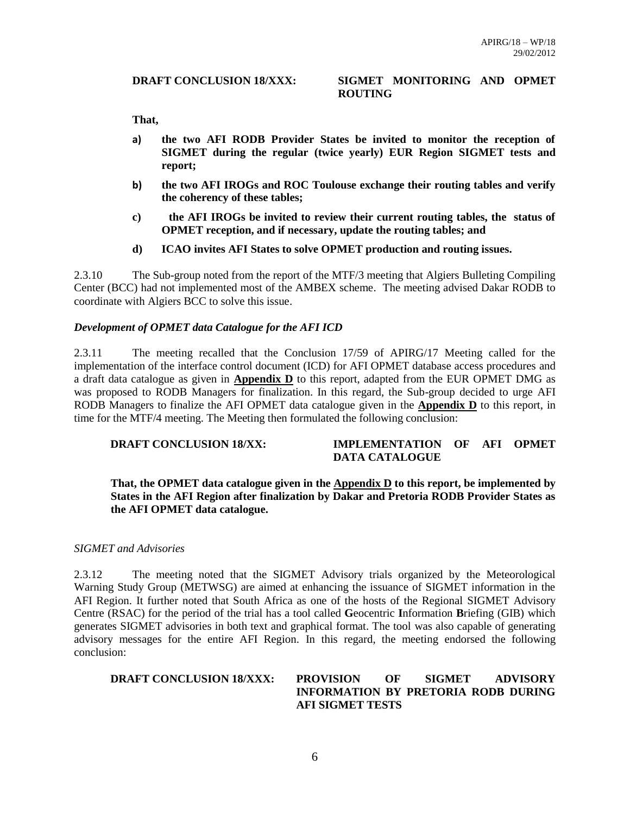#### **DRAFT CONCLUSION 18/XXX: SIGMET MONITORING AND OPMET ROUTING**

**That,**

- **a) the two AFI RODB Provider States be invited to monitor the reception of SIGMET during the regular (twice yearly) EUR Region SIGMET tests and report;**
- **b) the two AFI IROGs and ROC Toulouse exchange their routing tables and verify the coherency of these tables;**
- **c) the AFI IROGs be invited to review their current routing tables, the status of OPMET reception, and if necessary, update the routing tables; and**
- **d) ICAO invites AFI States to solve OPMET production and routing issues.**

2.3.10 The Sub-group noted from the report of the MTF/3 meeting that Algiers Bulleting Compiling Center (BCC) had not implemented most of the AMBEX scheme. The meeting advised Dakar RODB to coordinate with Algiers BCC to solve this issue.

#### *Development of OPMET data Catalogue for the AFI ICD*

2.3.11 The meeting recalled that the Conclusion 17/59 of APIRG/17 Meeting called for the implementation of the interface control document (ICD) for AFI OPMET database access procedures and a draft data catalogue as given in **Appendix D** to this report, adapted from the EUR OPMET DMG as was proposed to RODB Managers for finalization. In this regard, the Sub-group decided to urge AFI RODB Managers to finalize the AFI OPMET data catalogue given in the **Appendix D** to this report, in time for the MTF/4 meeting. The Meeting then formulated the following conclusion:

#### **DRAFT CONCLUSION 18/XX: IMPLEMENTATION OF AFI OPMET DATA CATALOGUE**

#### **That, the OPMET data catalogue given in the Appendix D to this report, be implemented by States in the AFI Region after finalization by Dakar and Pretoria RODB Provider States as the AFI OPMET data catalogue.**

#### *SIGMET and Advisories*

2.3.12 The meeting noted that the SIGMET Advisory trials organized by the Meteorological Warning Study Group (METWSG) are aimed at enhancing the issuance of SIGMET information in the AFI Region. It further noted that South Africa as one of the hosts of the Regional SIGMET Advisory Centre (RSAC) for the period of the trial has a tool called **G**eocentric **I**nformation **B**riefing (GIB) which generates SIGMET advisories in both text and graphical format. The tool was also capable of generating advisory messages for the entire AFI Region. In this regard, the meeting endorsed the following conclusion:

#### **DRAFT CONCLUSION 18/XXX: PROVISION OF SIGMET ADVISORY INFORMATION BY PRETORIA RODB DURING AFI SIGMET TESTS**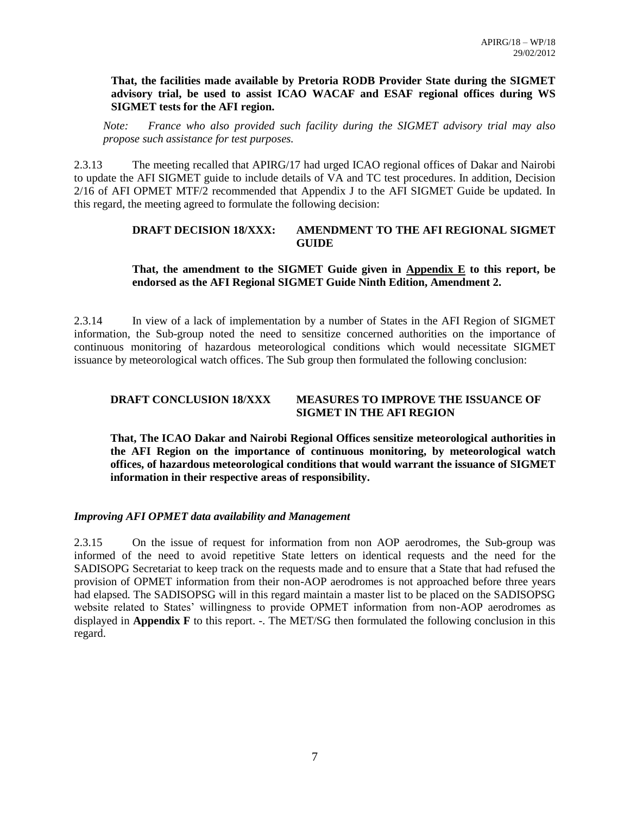#### **That, the facilities made available by Pretoria RODB Provider State during the SIGMET advisory trial, be used to assist ICAO WACAF and ESAF regional offices during WS SIGMET tests for the AFI region.**

*Note: France who also provided such facility during the SIGMET advisory trial may also propose such assistance for test purposes.*

2.3.13 The meeting recalled that APIRG/17 had urged ICAO regional offices of Dakar and Nairobi to update the AFI SIGMET guide to include details of VA and TC test procedures. In addition, Decision 2/16 of AFI OPMET MTF/2 recommended that Appendix J to the AFI SIGMET Guide be updated. In this regard, the meeting agreed to formulate the following decision:

## **DRAFT DECISION 18/XXX: AMENDMENT TO THE AFI REGIONAL SIGMET GUIDE**

#### **That, the amendment to the SIGMET Guide given in Appendix E to this report, be endorsed as the AFI Regional SIGMET Guide Ninth Edition, Amendment 2.**

2.3.14 In view of a lack of implementation by a number of States in the AFI Region of SIGMET information, the Sub-group noted the need to sensitize concerned authorities on the importance of continuous monitoring of hazardous meteorological conditions which would necessitate SIGMET issuance by meteorological watch offices. The Sub group then formulated the following conclusion:

# **DRAFT CONCLUSION 18/XXX MEASURES TO IMPROVE THE ISSUANCE OF SIGMET IN THE AFI REGION**

**That, The ICAO Dakar and Nairobi Regional Offices sensitize meteorological authorities in the AFI Region on the importance of continuous monitoring, by meteorological watch offices, of hazardous meteorological conditions that would warrant the issuance of SIGMET information in their respective areas of responsibility.**

#### *Improving AFI OPMET data availability and Management*

2.3.15 On the issue of request for information from non AOP aerodromes, the Sub-group was informed of the need to avoid repetitive State letters on identical requests and the need for the SADISOPG Secretariat to keep track on the requests made and to ensure that a State that had refused the provision of OPMET information from their non-AOP aerodromes is not approached before three years had elapsed. The SADISOPSG will in this regard maintain a master list to be placed on the SADISOPSG website related to States' willingness to provide OPMET information from non-AOP aerodromes as displayed in **Appendix F** to this report. -. The MET/SG then formulated the following conclusion in this regard.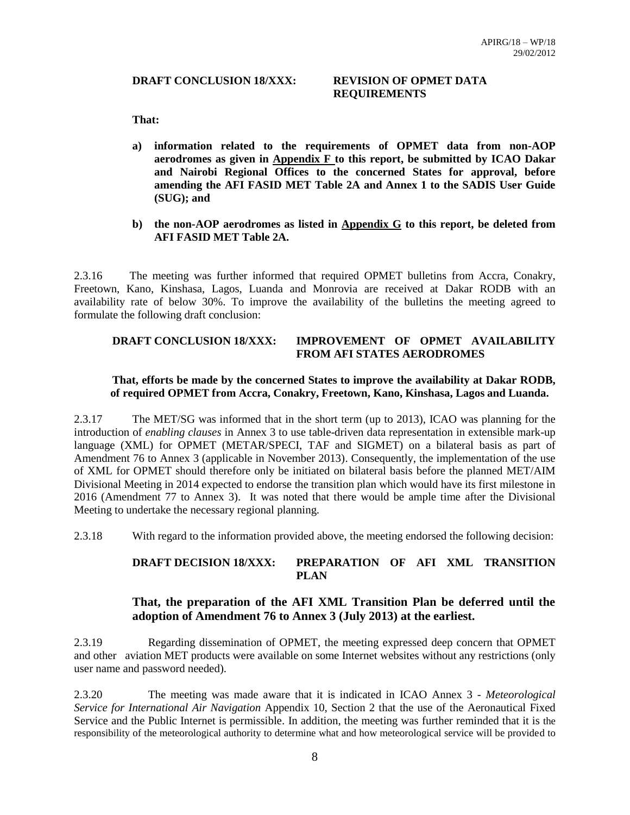#### **DRAFT CONCLUSION 18/XXX: REVISION OF OPMET DATA**

# **REQUIREMENTS**

**That:**

- **a) information related to the requirements of OPMET data from non-AOP aerodromes as given in Appendix F to this report, be submitted by ICAO Dakar and Nairobi Regional Offices to the concerned States for approval, before amending the AFI FASID MET Table 2A and Annex 1 to the SADIS User Guide (SUG); and**
- **b) the non-AOP aerodromes as listed in Appendix G to this report, be deleted from AFI FASID MET Table 2A.**

2.3.16 The meeting was further informed that required OPMET bulletins from Accra, Conakry, Freetown, Kano, Kinshasa, Lagos, Luanda and Monrovia are received at Dakar RODB with an availability rate of below 30%. To improve the availability of the bulletins the meeting agreed to formulate the following draft conclusion:

# **DRAFT CONCLUSION 18/XXX: IMPROVEMENT OF OPMET AVAILABILITY FROM AFI STATES AERODROMES**

#### **That, efforts be made by the concerned States to improve the availability at Dakar RODB, of required OPMET from Accra, Conakry, Freetown, Kano, Kinshasa, Lagos and Luanda.**

2.3.17 The MET/SG was informed that in the short term (up to 2013), ICAO was planning for the introduction of *enabling clauses* in Annex 3 to use table-driven data representation in extensible mark-up language (XML) for OPMET (METAR/SPECI, TAF and SIGMET) on a bilateral basis as part of Amendment 76 to Annex 3 (applicable in November 2013). Consequently, the implementation of the use of XML for OPMET should therefore only be initiated on bilateral basis before the planned MET/AIM Divisional Meeting in 2014 expected to endorse the transition plan which would have its first milestone in 2016 (Amendment 77 to Annex 3). It was noted that there would be ample time after the Divisional Meeting to undertake the necessary regional planning.

2.3.18 With regard to the information provided above, the meeting endorsed the following decision:

# **DRAFT DECISION 18/XXX: PREPARATION OF AFI XML TRANSITION PLAN**

# **That, the preparation of the AFI XML Transition Plan be deferred until the adoption of Amendment 76 to Annex 3 (July 2013) at the earliest.**

2.3.19 Regarding dissemination of OPMET, the meeting expressed deep concern that OPMET and other aviation MET products were available on some Internet websites without any restrictions (only user name and password needed).

2.3.20 The meeting was made aware that it is indicated in ICAO Annex 3 - *Meteorological Service for International Air Navigation* Appendix 10, Section 2 that the use of the Aeronautical Fixed Service and the Public Internet is permissible. In addition, the meeting was further reminded that it is the responsibility of the meteorological authority to determine what and how meteorological service will be provided to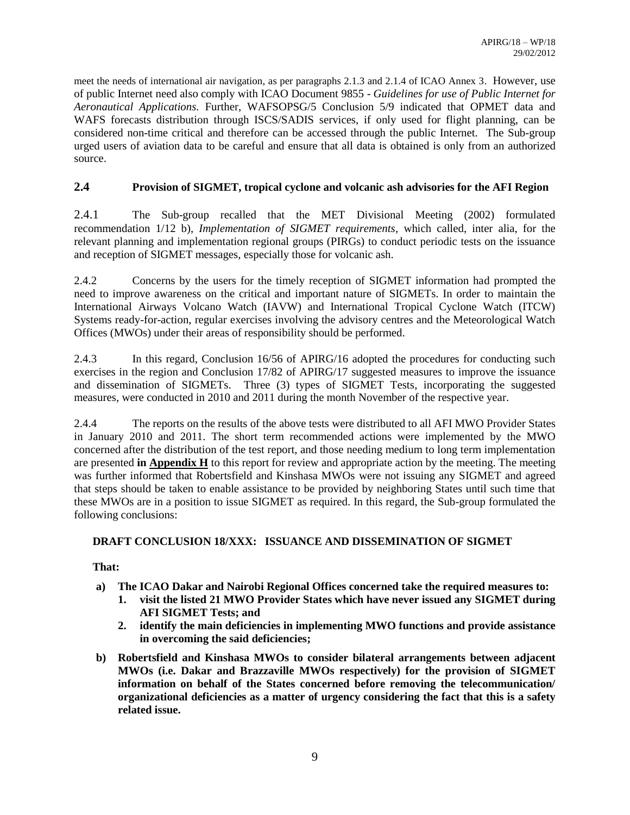meet the needs of international air navigation, as per paragraphs 2.1.3 and 2.1.4 of ICAO Annex 3. However, use of public Internet need also comply with ICAO Document 9855 - *Guidelines for use of Public Internet for Aeronautical Applications.* Further, WAFSOPSG/5 Conclusion 5/9 indicated that OPMET data and WAFS forecasts distribution through ISCS/SADIS services, if only used for flight planning, can be considered non-time critical and therefore can be accessed through the public Internet. The Sub-group urged users of aviation data to be careful and ensure that all data is obtained is only from an authorized source.

# **2.4 Provision of SIGMET, tropical cyclone and volcanic ash advisories for the AFI Region**

2.4.1 The Sub-group recalled that the MET Divisional Meeting (2002) formulated recommendation 1/12 b), *Implementation of SIGMET requirements*, which called, inter alia, for the relevant planning and implementation regional groups (PIRGs) to conduct periodic tests on the issuance and reception of SIGMET messages, especially those for volcanic ash.

2.4.2 Concerns by the users for the timely reception of SIGMET information had prompted the need to improve awareness on the critical and important nature of SIGMETs. In order to maintain the International Airways Volcano Watch (IAVW) and International Tropical Cyclone Watch (ITCW) Systems ready-for-action, regular exercises involving the advisory centres and the Meteorological Watch Offices (MWOs) under their areas of responsibility should be performed.

2.4.3 In this regard, Conclusion 16/56 of APIRG/16 adopted the procedures for conducting such exercises in the region and Conclusion 17/82 of APIRG/17 suggested measures to improve the issuance and dissemination of SIGMETs. Three (3) types of SIGMET Tests, incorporating the suggested measures, were conducted in 2010 and 2011 during the month November of the respective year.

2.4.4 The reports on the results of the above tests were distributed to all AFI MWO Provider States in January 2010 and 2011. The short term recommended actions were implemented by the MWO concerned after the distribution of the test report, and those needing medium to long term implementation are presented **in Appendix H** to this report for review and appropriate action by the meeting. The meeting was further informed that Robertsfield and Kinshasa MWOs were not issuing any SIGMET and agreed that steps should be taken to enable assistance to be provided by neighboring States until such time that these MWOs are in a position to issue SIGMET as required. In this regard, the Sub-group formulated the following conclusions:

# **DRAFT CONCLUSION 18/XXX: ISSUANCE AND DISSEMINATION OF SIGMET**

# **That:**

- **a) The ICAO Dakar and Nairobi Regional Offices concerned take the required measures to:**
	- **1. visit the listed 21 MWO Provider States which have never issued any SIGMET during AFI SIGMET Tests; and**
	- **2. identify the main deficiencies in implementing MWO functions and provide assistance in overcoming the said deficiencies;**
- **b) Robertsfield and Kinshasa MWOs to consider bilateral arrangements between adjacent MWOs (i.e. Dakar and Brazzaville MWOs respectively) for the provision of SIGMET information on behalf of the States concerned before removing the telecommunication/ organizational deficiencies as a matter of urgency considering the fact that this is a safety related issue.**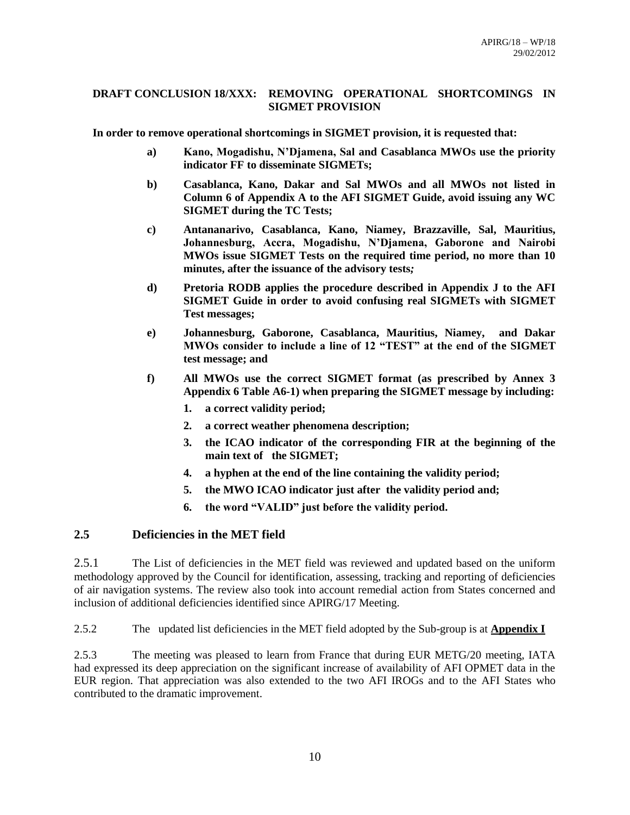#### **DRAFT CONCLUSION 18/XXX: REMOVING OPERATIONAL SHORTCOMINGS IN SIGMET PROVISION**

**In order to remove operational shortcomings in SIGMET provision, it is requested that:**

- **a) Kano, Mogadishu, N'Djamena, Sal and Casablanca MWOs use the priority indicator FF to disseminate SIGMETs;**
- **b) Casablanca, Kano, Dakar and Sal MWOs and all MWOs not listed in Column 6 of Appendix A to the AFI SIGMET Guide, avoid issuing any WC SIGMET during the TC Tests;**
- **c) Antananarivo, Casablanca, Kano, Niamey, Brazzaville, Sal, Mauritius, Johannesburg, Accra, Mogadishu, N'Djamena, Gaborone and Nairobi MWOs issue SIGMET Tests on the required time period, no more than 10 minutes, after the issuance of the advisory tests***;*
- **d) Pretoria RODB applies the procedure described in Appendix J to the AFI SIGMET Guide in order to avoid confusing real SIGMETs with SIGMET Test messages;**
- **e) Johannesburg, Gaborone, Casablanca, Mauritius, Niamey, and Dakar MWOs consider to include a line of 12 "TEST" at the end of the SIGMET test message; and**
- **f) All MWOs use the correct SIGMET format (as prescribed by Annex 3 Appendix 6 Table A6-1) when preparing the SIGMET message by including:**
	- **1. a correct validity period;**
	- **2. a correct weather phenomena description;**
	- **3. the ICAO indicator of the corresponding FIR at the beginning of the main text of the SIGMET;**
	- **4. a hyphen at the end of the line containing the validity period;**
	- **5. the MWO ICAO indicator just after the validity period and;**
	- **6. the word "VALID" just before the validity period.**

# **2.5 Deficiencies in the MET field**

2.5.1 The List of deficiencies in the MET field was reviewed and updated based on the uniform methodology approved by the Council for identification, assessing, tracking and reporting of deficiencies of air navigation systems. The review also took into account remedial action from States concerned and inclusion of additional deficiencies identified since APIRG/17 Meeting.

2.5.2 The updated list deficiencies in the MET field adopted by the Sub-group is at **Appendix I**

2.5.3 The meeting was pleased to learn from France that during EUR METG/20 meeting, IATA had expressed its deep appreciation on the significant increase of availability of AFI OPMET data in the EUR region. That appreciation was also extended to the two AFI IROGs and to the AFI States who contributed to the dramatic improvement.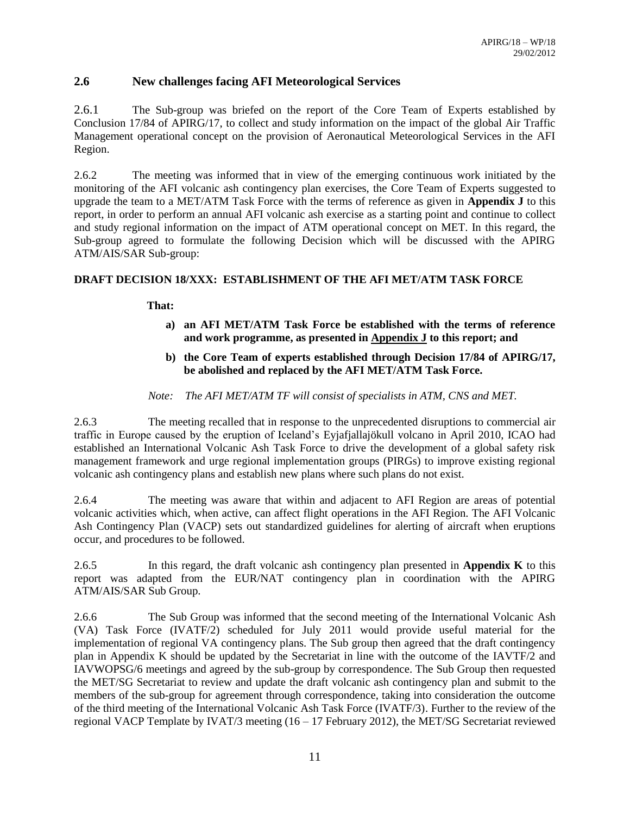# **2.6 New challenges facing AFI Meteorological Services**

2.6.1 The Sub-group was briefed on the report of the Core Team of Experts established by Conclusion 17/84 of APIRG/17, to collect and study information on the impact of the global Air Traffic Management operational concept on the provision of Aeronautical Meteorological Services in the AFI Region.

2.6.2 The meeting was informed that in view of the emerging continuous work initiated by the monitoring of the AFI volcanic ash contingency plan exercises, the Core Team of Experts suggested to upgrade the team to a MET/ATM Task Force with the terms of reference as given in **Appendix J** to this report, in order to perform an annual AFI volcanic ash exercise as a starting point and continue to collect and study regional information on the impact of ATM operational concept on MET. In this regard, the Sub-group agreed to formulate the following Decision which will be discussed with the APIRG ATM/AIS/SAR Sub-group:

## **DRAFT DECISION 18/XXX: ESTABLISHMENT OF THE AFI MET/ATM TASK FORCE**

**That:**

- **a) an AFI MET/ATM Task Force be established with the terms of reference and work programme, as presented in Appendix J to this report; and**
- **b) the Core Team of experts established through Decision 17/84 of APIRG/17, be abolished and replaced by the AFI MET/ATM Task Force.**
- *Note: The AFI MET/ATM TF will consist of specialists in ATM, CNS and MET.*

2.6.3 The meeting recalled that in response to the unprecedented disruptions to commercial air traffic in Europe caused by the eruption of Iceland's Eyjafjallajökull volcano in April 2010, ICAO had established an International Volcanic Ash Task Force to drive the development of a global safety risk management framework and urge regional implementation groups (PIRGs) to improve existing regional volcanic ash contingency plans and establish new plans where such plans do not exist.

2.6.4 The meeting was aware that within and adjacent to AFI Region are areas of potential volcanic activities which, when active, can affect flight operations in the AFI Region. The AFI Volcanic Ash Contingency Plan (VACP) sets out standardized guidelines for alerting of aircraft when eruptions occur, and procedures to be followed.

2.6.5 In this regard, the draft volcanic ash contingency plan presented in **Appendix K** to this report was adapted from the EUR/NAT contingency plan in coordination with the APIRG ATM/AIS/SAR Sub Group.

2.6.6 The Sub Group was informed that the second meeting of the International Volcanic Ash (VA) Task Force (IVATF/2) scheduled for July 2011 would provide useful material for the implementation of regional VA contingency plans. The Sub group then agreed that the draft contingency plan in Appendix K should be updated by the Secretariat in line with the outcome of the IAVTF/2 and IAVWOPSG/6 meetings and agreed by the sub-group by correspondence. The Sub Group then requested the MET/SG Secretariat to review and update the draft volcanic ash contingency plan and submit to the members of the sub-group for agreement through correspondence, taking into consideration the outcome of the third meeting of the International Volcanic Ash Task Force (IVATF/3). Further to the review of the regional VACP Template by IVAT/3 meeting (16 – 17 February 2012), the MET/SG Secretariat reviewed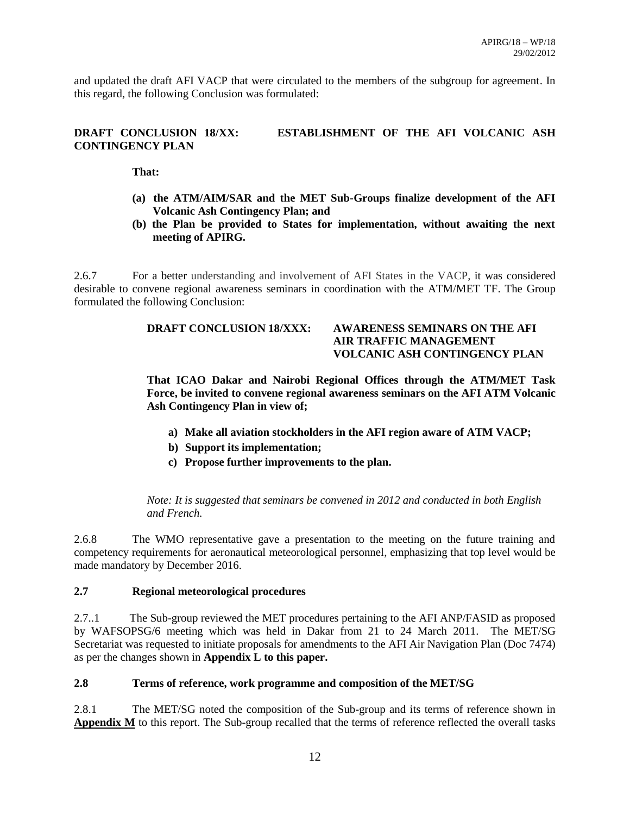and updated the draft AFI VACP that were circulated to the members of the subgroup for agreement. In this regard, the following Conclusion was formulated:

# **DRAFT CONCLUSION 18/XX: ESTABLISHMENT OF THE AFI VOLCANIC ASH CONTINGENCY PLAN**

**That:**

- **(a) the ATM/AIM/SAR and the MET Sub-Groups finalize development of the AFI Volcanic Ash Contingency Plan; and**
- **(b) the Plan be provided to States for implementation, without awaiting the next meeting of APIRG.**

2.6.7 For a better understanding and involvement of AFI States in the VACP, it was considered desirable to convene regional awareness seminars in coordination with the ATM/MET TF. The Group formulated the following Conclusion:

# **DRAFT CONCLUSION 18/XXX: AWARENESS SEMINARS ON THE AFI AIR TRAFFIC MANAGEMENT VOLCANIC ASH CONTINGENCY PLAN**

**That ICAO Dakar and Nairobi Regional Offices through the ATM/MET Task Force, be invited to convene regional awareness seminars on the AFI ATM Volcanic Ash Contingency Plan in view of;**

- **a) Make all aviation stockholders in the AFI region aware of ATM VACP;**
- **b) Support its implementation;**
- **c) Propose further improvements to the plan.**

*Note: It is suggested that seminars be convened in 2012 and conducted in both English and French.*

2.6.8 The WMO representative gave a presentation to the meeting on the future training and competency requirements for aeronautical meteorological personnel, emphasizing that top level would be made mandatory by December 2016.

#### **2.7 Regional meteorological procedures**

2.7..1 The Sub-group reviewed the MET procedures pertaining to the AFI ANP/FASID as proposed by WAFSOPSG/6 meeting which was held in Dakar from 21 to 24 March 2011. The MET/SG Secretariat was requested to initiate proposals for amendments to the AFI Air Navigation Plan (Doc 7474) as per the changes shown in **Appendix L to this paper.**

#### **2.8 Terms of reference, work programme and composition of the MET/SG**

2.8.1 The MET/SG noted the composition of the Sub-group and its terms of reference shown in **Appendix M** to this report. The Sub-group recalled that the terms of reference reflected the overall tasks